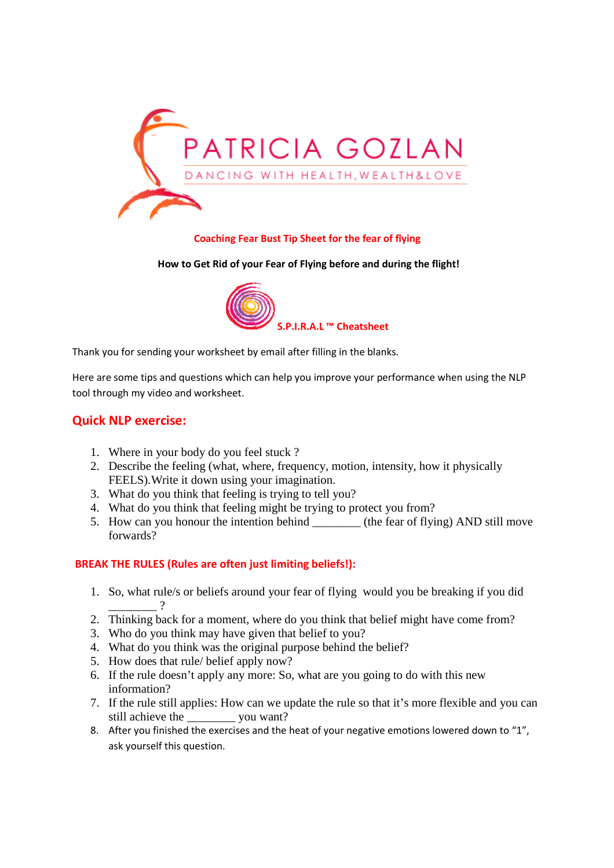

## **Coaching Fear Bust Tip Sheet for the fear of flying**

## **How to Get Rid of your Fear of Flying before and during the flight!**



Thank you for sending your worksheet by email after filling in the blanks.

Here are some tips and questions which can help you improve your performance when using the NLP tool through my video and worksheet.

## **Quick NLP exercise:**

- 1. Where in your body do you feel stuck ?
- 2. Describe the feeling (what, where, frequency, motion, intensity, how it physically FEELS).Write it down using your imagination.
- 3. What do you think that feeling is trying to tell you?
- 4. What do you think that feeling might be trying to protect you from?
- 5. How can you honour the intention behind \_\_\_\_\_\_\_\_\_ (the fear of flying) AND still move forwards?

## **BREAK THE RULES (Rules are often just limiting beliefs!):**

- 1. So, what rule/s or beliefs around your fear of flying would you be breaking if you did  $\overline{2}$
- 2. Thinking back for a moment, where do you think that belief might have come from?
- 3. Who do you think may have given that belief to you?
- 4. What do you think was the original purpose behind the belief?
- 5. How does that rule/ belief apply now?
- 6. If the rule doesn't apply any more: So, what are you going to do with this new information?
- 7. If the rule still applies: How can we update the rule so that it's more flexible and you can still achieve the vou want?
- 8. After you finished the exercises and the heat of your negative emotions lowered down to "1", ask yourself this question.